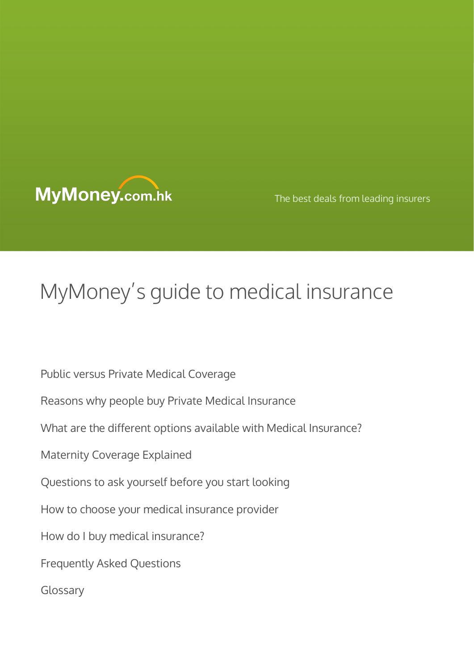

The best deals from leading insurers

# MyMoney's guide to medical insurance

Public versus Private Medical Coverage Reasons why people buy Private Medical Insurance What are the different options available with Medical Insurance? Maternity Coverage Explained Questions to ask yourself before you start looking How to choose your medical insurance provider How do I buy medical insurance? Frequently Asked Questions Glossary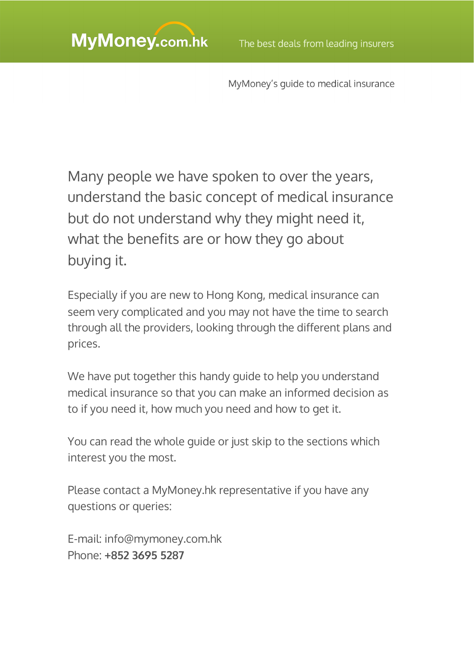Many people we have spoken to over the years, understand the basic concept of medical insurance but do not understand why they might need it, what the benefits are or how they go about buying it.

Especially if you are new to Hong Kong, medical insurance can seem very complicated and you may not have the time to search through all the providers, looking through the different plans and prices.

We have put together this handy guide to help you understand medical insurance so that you can make an informed decision as to if you need it, how much you need and how to get it.

You can read the whole guide or just skip to the sections which interest you the most.

Please contact a MyMoney.hk representative if you have any questions or queries:

E-mail: [info@mymoney.com.hk](mailto:info@mymoney.com.hk) Phone: **+852 3695 5287**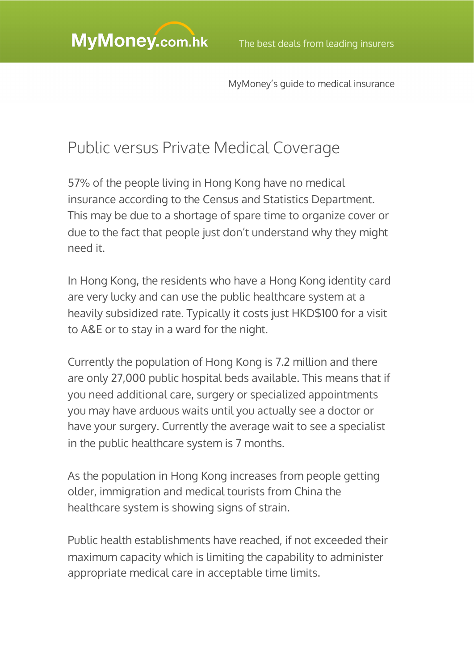## Public versus Private Medical Coverage

57% of the people living in Hong Kong have no medical insurance according to the Census and Statistics Department. This may be due to a shortage of spare time to organize cover or due to the fact that people just don't understand why they might need it.

In Hong Kong, the residents who have a Hong Kong identity card are very lucky and can use the public healthcare system at a heavily subsidized rate. Typically it costs just HKD\$100 for a visit to A&E or to stay in a ward for the night.

Currently the population of Hong Kong is 7.2 million and there are only 27,000 public hospital beds available. This means that if you need additional care, surgery or specialized appointments you may have arduous waits until you actually see a doctor or have your surgery. Currently the average wait to see a specialist in the public healthcare system is 7 months.

As the population in Hong Kong increases from people getting older, immigration and medical tourists from China the healthcare system is showing signs of strain.

Public health establishments have reached, if not exceeded their maximum capacity which is limiting the capability to administer appropriate medical care in acceptable time limits.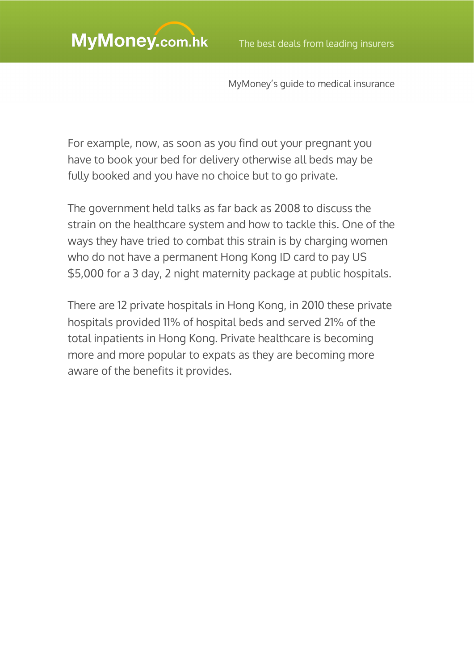For example, now, as soon as you find out your pregnant you have to book your bed for delivery otherwise all beds may be fully booked and you have no choice but to go private.

The government held talks as far back as 2008 to discuss the strain on the healthcare system and how to tackle this. One of the ways they have tried to combat this strain is by charging women who do not have a permanent Hong Kong ID card to pay US \$5,000 for a 3 day, 2 night maternity package at public hospitals.

There are 12 private hospitals in Hong Kong, in 2010 these private hospitals provided 11% of hospital beds and served 21% of the total inpatients in Hong Kong. Private healthcare is becoming more and more popular to expats as they are becoming more aware of the benefits it provides.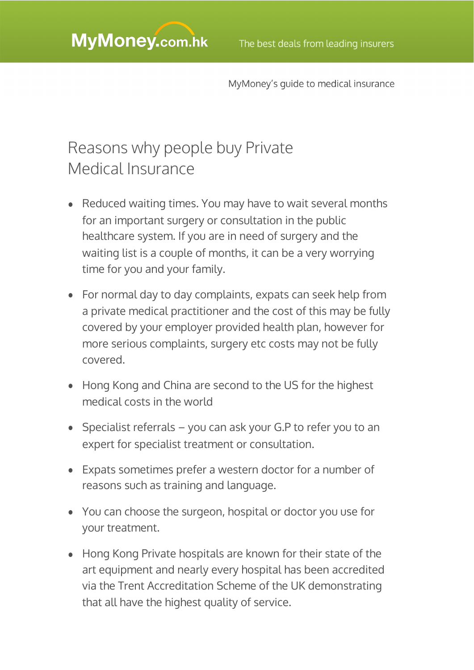## Reasons why people buy Private Medical Insurance

- Reduced waiting times. You may have to wait several months for an important surgery or consultation in the public healthcare system. If you are in need of surgery and the waiting list is a couple of months, it can be a very worrying time for you and your family.
- For normal day to day complaints, expats can seek help from a private medical practitioner and the cost of this may be fully covered by your employer provided health plan, however for more serious complaints, surgery etc costs may not be fully covered.
- Hong Kong and China are second to the US for the highest medical costs in the world
- Specialist referrals you can ask your G.P to refer you to an expert for specialist treatment or consultation.
- Expats sometimes prefer a western doctor for a number of reasons such as training and language.
- You can choose the surgeon, hospital or doctor you use for your treatment.
- Hong Kong Private hospitals are known for their state of the art equipment and nearly every hospital has been accredited via the Trent Accreditation Scheme of the UK demonstrating that all have the highest quality of service.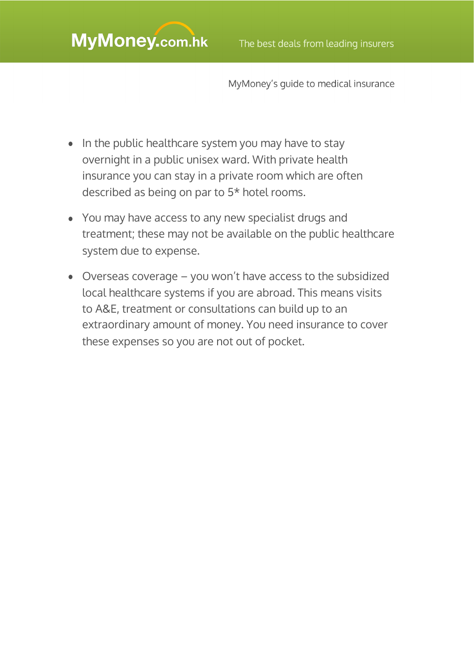- In the public healthcare system you may have to stay overnight in a public unisex ward. With private health insurance you can stay in a private room which are often described as being on par to 5\* hotel rooms.
- You may have access to any new specialist drugs and treatment; these may not be available on the public healthcare system due to expense.
- Overseas coverage you won't have access to the subsidized local healthcare systems if you are abroad. This means visits to A&E, treatment or consultations can build up to an extraordinary amount of money. You need insurance to cover these expenses so you are not out of pocket.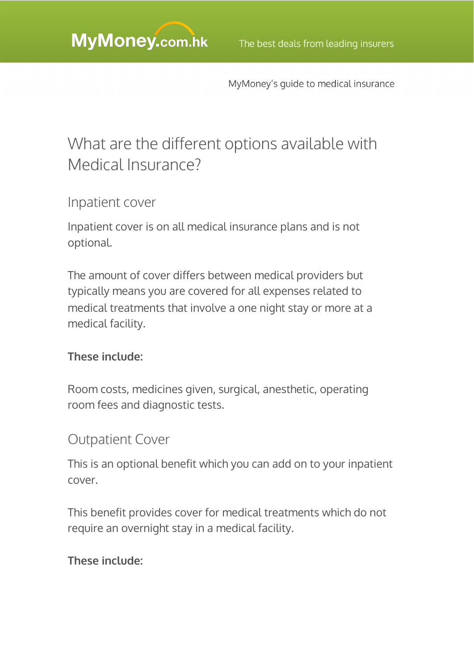## What are the different options available with Medical Insurance?

### Inpatient cover

Inpatient cover is on all medical insurance plans and is not optional.

The amount of cover differs between medical providers but typically means you are covered for all expenses related to medical treatments that involve a one night stay or more at a medical facility.

#### **These include:**

Room costs, medicines given, surgical, anesthetic, operating room fees and diagnostic tests.

### Outpatient Cover

This is an optional benefit which you can add on to your inpatient cover.

This benefit provides cover for medical treatments which do not require an overnight stay in a medical facility.

#### **These include:**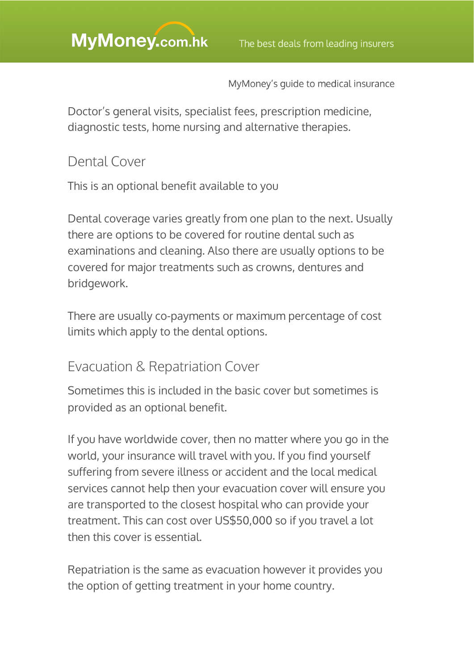Doctor's general visits, specialist fees, prescription medicine, diagnostic tests, home nursing and alternative therapies.

### Dental Cover

This is an optional benefit available to you

Dental coverage varies greatly from one plan to the next. Usually there are options to be covered for routine dental such as examinations and cleaning. Also there are usually options to be covered for major treatments such as crowns, dentures and bridgework.

There are usually co-payments or maximum percentage of cost limits which apply to the dental options.

### Evacuation & Repatriation Cover

Sometimes this is included in the basic cover but sometimes is provided as an optional benefit.

If you have worldwide cover, then no matter where you go in the world, your insurance will travel with you. If you find yourself suffering from severe illness or accident and the local medical services cannot help then your evacuation cover will ensure you are transported to the closest hospital who can provide your treatment. This can cost over US\$50,000 so if you travel a lot then this cover is essential.

Repatriation is the same as evacuation however it provides you the option of getting treatment in your home country.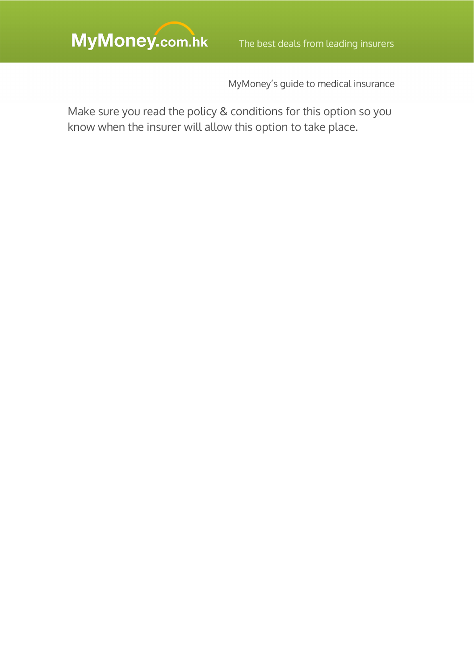MyMoney's guide to medical insurance

Make sure you read the policy & conditions for this option so you know when the insurer will allow this option to take place.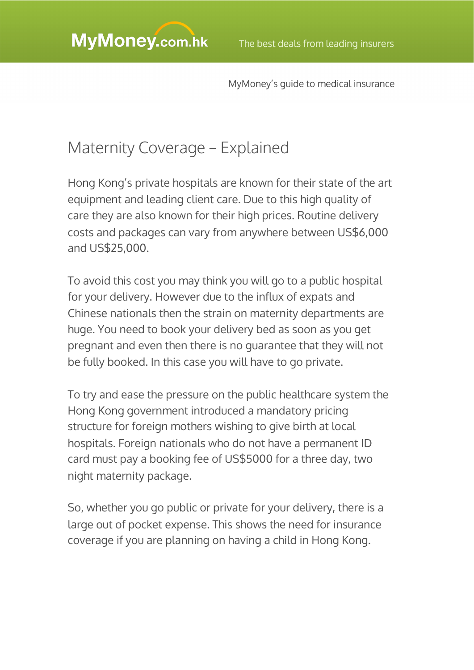## Maternity Coverage – Explained

Hong Kong's private hospitals are known for their state of the art equipment and leading client care. Due to this high quality of care they are also known for their high prices. Routine delivery costs and packages can vary from anywhere between US\$6,000 and US\$25,000.

To avoid this cost you may think you will go to a public hospital for your delivery. However due to the influx of expats and Chinese nationals then the strain on maternity departments are huge. You need to book your delivery bed as soon as you get pregnant and even then there is no guarantee that they will not be fully booked. In this case you will have to go private.

To try and ease the pressure on the public healthcare system the Hong Kong government introduced a mandatory pricing structure for foreign mothers wishing to give birth at local hospitals. Foreign nationals who do not have a permanent ID card must pay a booking fee of US\$5000 for a three day, two night maternity package.

So, whether you go public or private for your delivery, there is a large out of pocket expense. This shows the need for insurance coverage if you are planning on having a child in Hong Kong.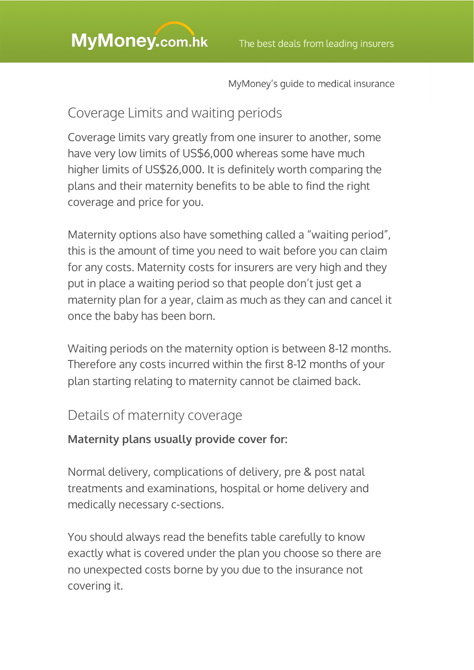## Coverage Limits and waiting periods

Coverage limits vary greatly from one insurer to another, some have very low limits of US\$6,000 whereas some have much higher limits of US\$26,000. It is definitely worth comparing the plans and their maternity benefits to be able to find the right coverage and price for you.

Maternity options also have something called a "waiting period", this is the amount of time you need to wait before you can claim for any costs. Maternity costs for insurers are very high and they put in place a waiting period so that people don't just get a maternity plan for a year, claim as much as they can and cancel it once the baby has been born.

Waiting periods on the maternity option is between 8-12 months. Therefore any costs incurred within the first 8-12 months of your plan starting relating to maternity cannot be claimed back.

## Details of maternity coverage

### **Maternity plans usually provide cover for:**

Normal delivery, complications of delivery, pre & post natal treatments and examinations, hospital or home delivery and medically necessary c-sections.

You should always read the benefits table carefully to know exactly what is covered under the plan you choose so there are no unexpected costs borne by you due to the insurance not covering it.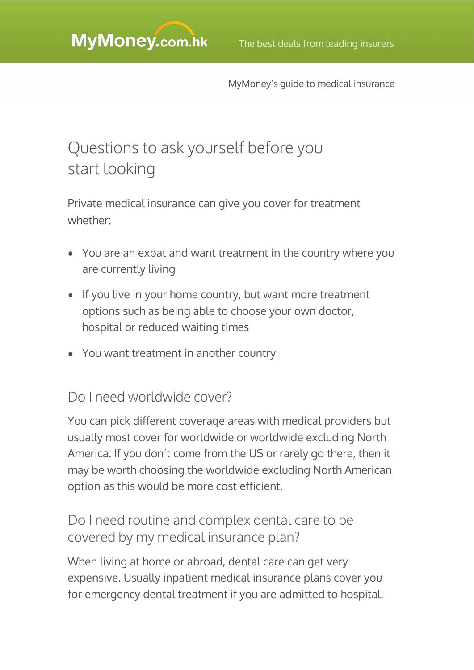## Questions to ask yourself before you start looking

Private medical insurance can give you cover for treatment whether:

- You are an expat and want treatment in the country where you are currently living
- If you live in your home country, but want more treatment options such as being able to choose your own doctor, hospital or reduced waiting times
- You want treatment in another country

### Do I need worldwide cover?

You can pick different coverage areas with medical providers but usually most cover for worldwide or worldwide excluding North America. If you don't come from the US or rarely go there, then it may be worth choosing the worldwide excluding North American option as this would be more cost efficient.

### Do I need routine and complex dental care to be covered by my medical insurance plan?

When living at home or abroad, dental care can get very expensive. Usually inpatient medical insurance plans cover you for emergency dental treatment if you are admitted to hospital.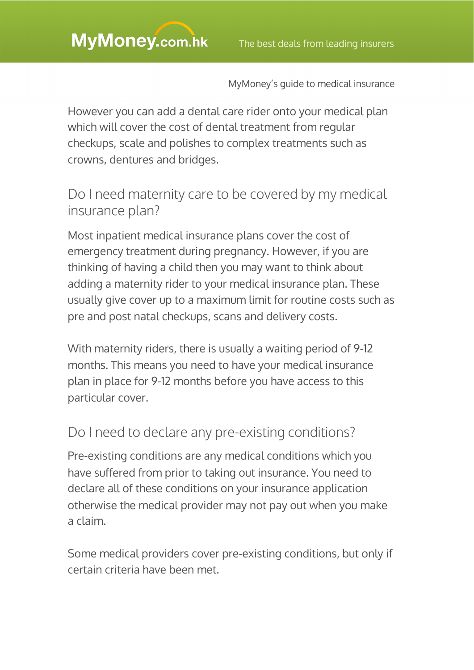However you can add a dental care rider onto your medical plan which will cover the cost of dental treatment from regular checkups, scale and polishes to complex treatments such as crowns, dentures and bridges.

## Do I need maternity care to be covered by my medical insurance plan?

Most inpatient medical insurance plans cover the cost of emergency treatment during pregnancy. However, if you are thinking of having a child then you may want to think about adding a maternity rider to your medical insurance plan. These usually give cover up to a maximum limit for routine costs such as pre and post natal checkups, scans and delivery costs.

With maternity riders, there is usually a waiting period of 9-12 months. This means you need to have your medical insurance plan in place for 9-12 months before you have access to this particular cover.

## Do I need to declare any pre-existing conditions?

Pre-existing conditions are any medical conditions which you have suffered from prior to taking out insurance. You need to declare all of these conditions on your insurance application otherwise the medical provider may not pay out when you make a claim.

Some medical providers cover pre-existing conditions, but only if certain criteria have been met.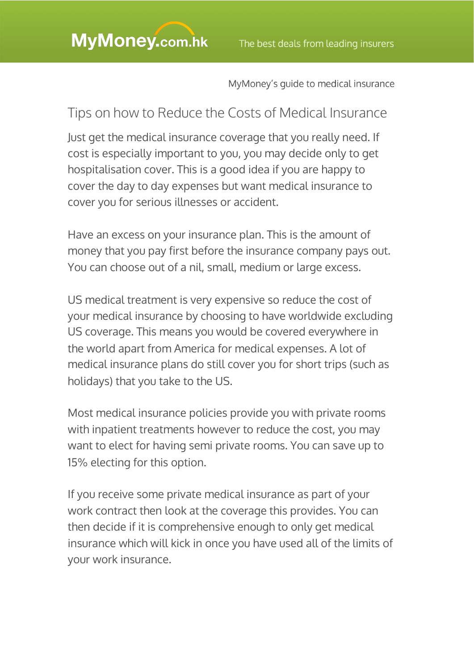### Tips on how to Reduce the Costs of Medical Insurance

Just get the medical insurance coverage that you really need. If cost is especially important to you, you may decide only to get hospitalisation cover. This is a good idea if you are happy to cover the day to day expenses but want medical insurance to cover you for serious illnesses or accident.

Have an excess on your insurance plan. This is the amount of money that you pay first before the insurance company pays out. You can choose out of a nil, small, medium or large excess.

US medical treatment is very expensive so reduce the cost of your medical insurance by choosing to have worldwide excluding US coverage. This means you would be covered everywhere in the world apart from America for medical expenses. A lot of medical insurance plans do still cover you for short trips (such as holidays) that you take to the US.

Most medical insurance policies provide you with private rooms with inpatient treatments however to reduce the cost, you may want to elect for having semi private rooms. You can save up to 15% electing for this option.

If you receive some private medical insurance as part of your work contract then look at the coverage this provides. You can then decide if it is comprehensive enough to only get medical insurance which will kick in once you have used all of the limits of your work insurance.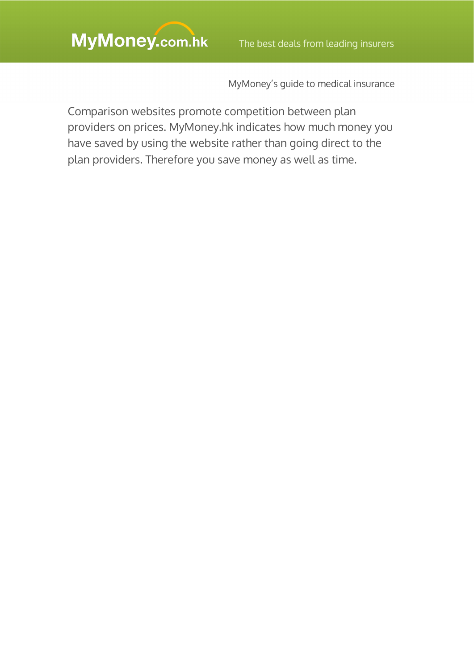Comparison websites promote competition between plan providers on prices. MyMoney.hk indicates how much money you have saved by using the website rather than going direct to the plan providers. Therefore you save money as well as time.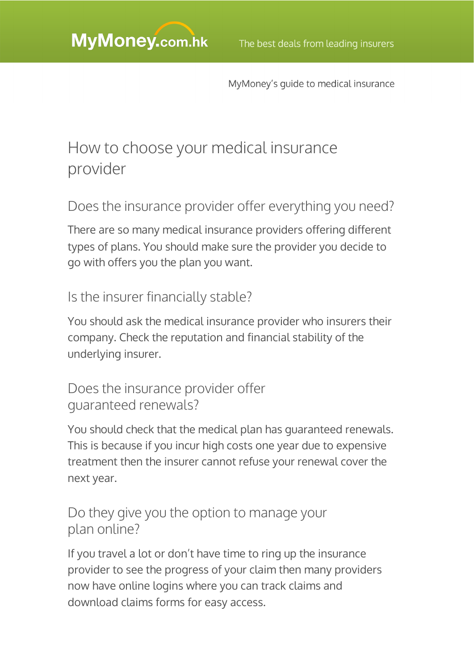## How to choose your medical insurance provider

Does the insurance provider offer everything you need?

There are so many medical insurance providers offering different types of plans. You should make sure the provider you decide to go with offers you the plan you want.

### Is the insurer financially stable?

You should ask the medical insurance provider who insurers their company. Check the reputation and financial stability of the underlying insurer.

### Does the insurance provider offer guaranteed renewals?

You should check that the medical plan has guaranteed renewals. This is because if you incur high costs one year due to expensive treatment then the insurer cannot refuse your renewal cover the next year.

### Do they give you the option to manage your plan online?

If you travel a lot or don't have time to ring up the insurance provider to see the progress of your claim then many providers now have online logins where you can track claims and download claims forms for easy access.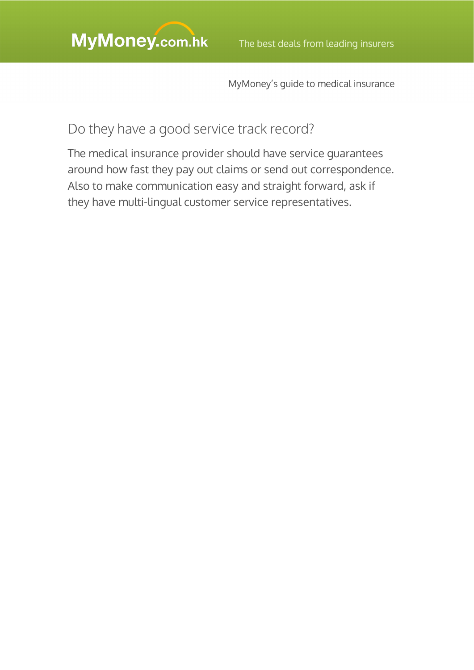### Do they have a good service track record?

The medical insurance provider should have service guarantees around how fast they pay out claims or send out correspondence. Also to make communication easy and straight forward, ask if they have multi-lingual customer service representatives.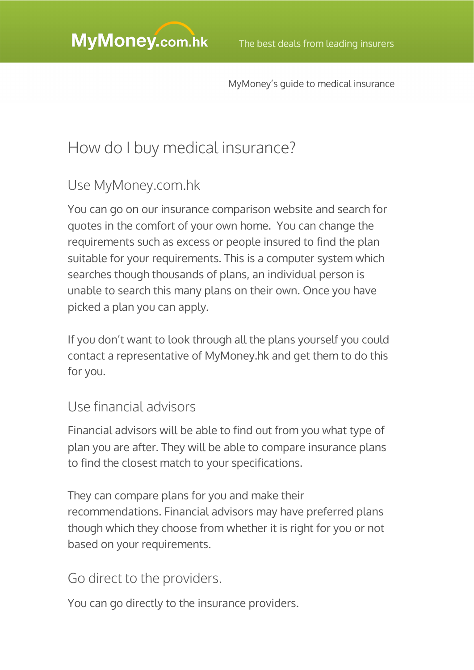## How do I buy medical insurance?

### Use MyMoney.com.hk

You can go on our insurance comparison website and search for quotes in the comfort of your own home. You can change the requirements such as excess or people insured to find the plan suitable for your requirements. This is a computer system which searches though thousands of plans, an individual person is unable to search this many plans on their own. Once you have picked a plan you can apply.

If you don't want to look through all the plans yourself you could contact a representative of MyMoney.hk and get them to do this for you.

### Use financial advisors

Financial advisors will be able to find out from you what type of plan you are after. They will be able to compare insurance plans to find the closest match to your specifications.

They can compare plans for you and make their recommendations. Financial advisors may have preferred plans though which they choose from whether it is right for you or not based on your requirements.

### Go direct to the providers.

You can go directly to the insurance providers.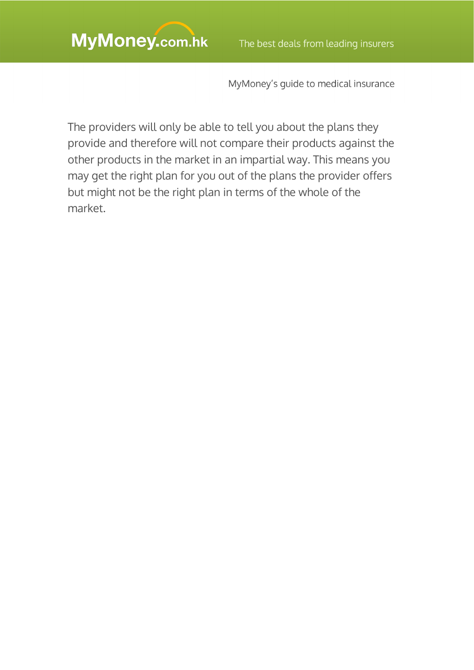The providers will only be able to tell you about the plans they provide and therefore will not compare their products against the other products in the market in an impartial way. This means you may get the right plan for you out of the plans the provider offers but might not be the right plan in terms of the whole of the market.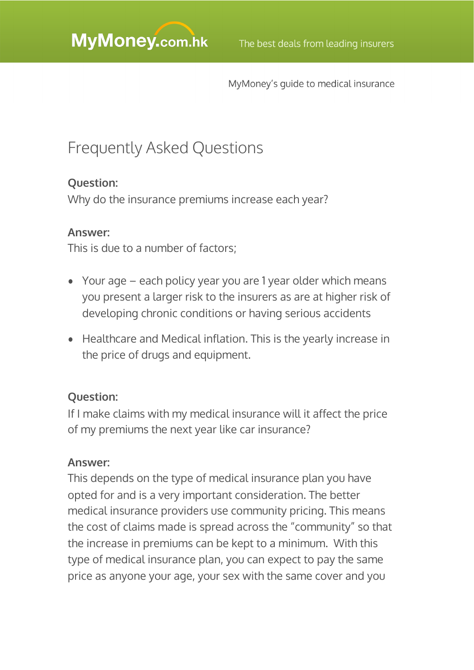## Frequently Asked Questions

### **Question:**

Why do the insurance premiums increase each year?

#### **Answer:**

This is due to a number of factors;

- Your age each policy year you are 1 year older which means you present a larger risk to the insurers as are at higher risk of developing chronic conditions or having serious accidents
- Healthcare and Medical inflation. This is the yearly increase in the price of drugs and equipment.

### **Question:**

If I make claims with my medical insurance will it affect the price of my premiums the next year like car insurance?

#### **Answer:**

This depends on the type of medical insurance plan you have opted for and is a very important consideration. The better medical insurance providers use community pricing. This means the cost of claims made is spread across the "community" so that the increase in premiums can be kept to a minimum. With this type of medical insurance plan, you can expect to pay the same price as anyone your age, your sex with the same cover and you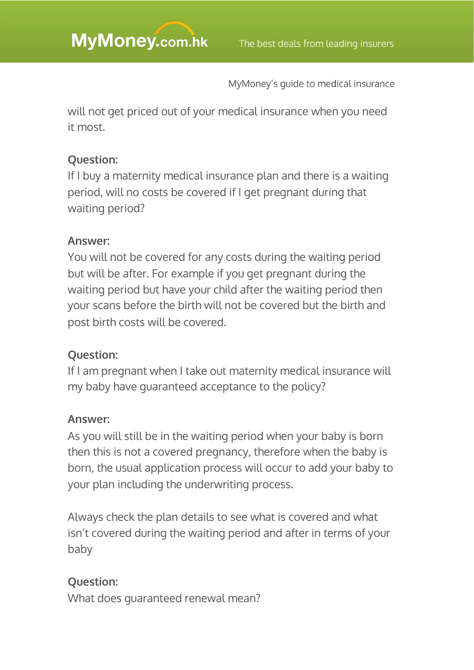will not get priced out of your medical insurance when you need it most.

### **Question:**

If I buy a maternity medical insurance plan and there is a waiting period, will no costs be covered if I get pregnant during that waiting period?

### **Answer:**

You will not be covered for any costs during the waiting period but will be after. For example if you get pregnant during the waiting period but have your child after the waiting period then your scans before the birth will not be covered but the birth and post birth costs will be covered.

### **Question:**

If I am pregnant when I take out maternity medical insurance will my baby have guaranteed acceptance to the policy?

### **Answer:**

As you will still be in the waiting period when your baby is born then this is not a covered pregnancy, therefore when the baby is born, the usual application process will occur to add your baby to your plan including the underwriting process.

Always check the plan details to see what is covered and what isn't covered during the waiting period and after in terms of your baby

### **Question:**

What does guaranteed renewal mean?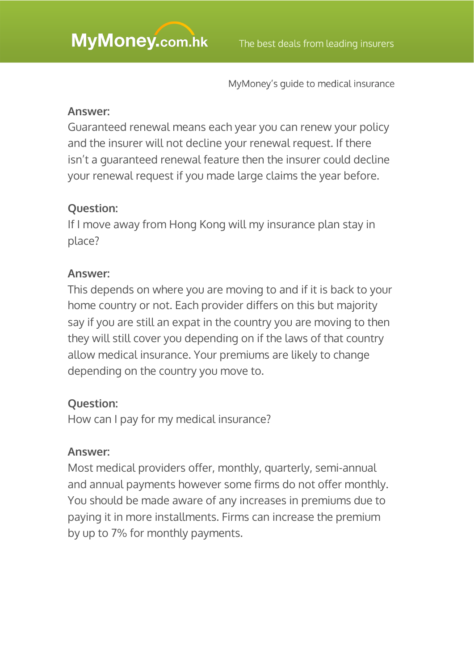#### **Answer:**

Guaranteed renewal means each year you can renew your policy and the insurer will not decline your renewal request. If there isn't a guaranteed renewal feature then the insurer could decline your renewal request if you made large claims the year before.

### **Question:**

If I move away from Hong Kong will my insurance plan stay in place?

#### **Answer:**

This depends on where you are moving to and if it is back to your home country or not. Each provider differs on this but majority say if you are still an expat in the country you are moving to then they will still cover you depending on if the laws of that country allow medical insurance. Your premiums are likely to change depending on the country you move to.

#### **Question:**

How can I pay for my medical insurance?

#### **Answer:**

Most medical providers offer, monthly, quarterly, semi-annual and annual payments however some firms do not offer monthly. You should be made aware of any increases in premiums due to paying it in more installments. Firms can increase the premium by up to 7% for monthly payments.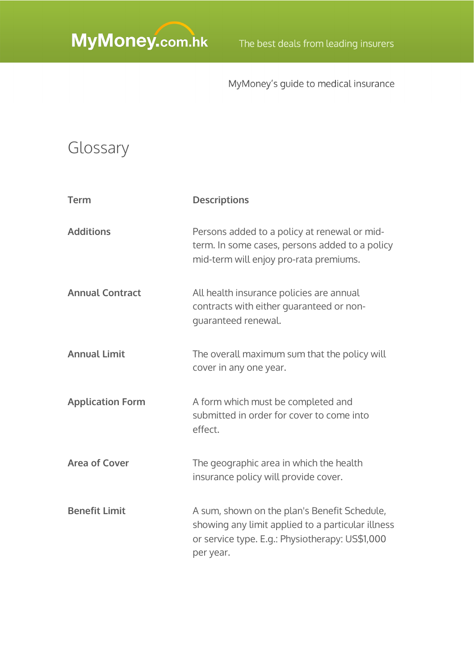## Glossary

| <b>Term</b>             | <b>Descriptions</b>                                                                                                                                               |
|-------------------------|-------------------------------------------------------------------------------------------------------------------------------------------------------------------|
| <b>Additions</b>        | Persons added to a policy at renewal or mid-<br>term. In some cases, persons added to a policy<br>mid-term will enjoy pro-rata premiums.                          |
| <b>Annual Contract</b>  | All health insurance policies are annual<br>contracts with either quaranteed or non-<br>guaranteed renewal.                                                       |
| <b>Annual Limit</b>     | The overall maximum sum that the policy will<br>cover in any one year.                                                                                            |
| <b>Application Form</b> | A form which must be completed and<br>submitted in order for cover to come into<br>effect.                                                                        |
| <b>Area of Cover</b>    | The geographic area in which the health<br>insurance policy will provide cover.                                                                                   |
| <b>Benefit Limit</b>    | A sum, shown on the plan's Benefit Schedule,<br>showing any limit applied to a particular illness<br>or service type. E.g.: Physiotherapy: US\$1,000<br>per year. |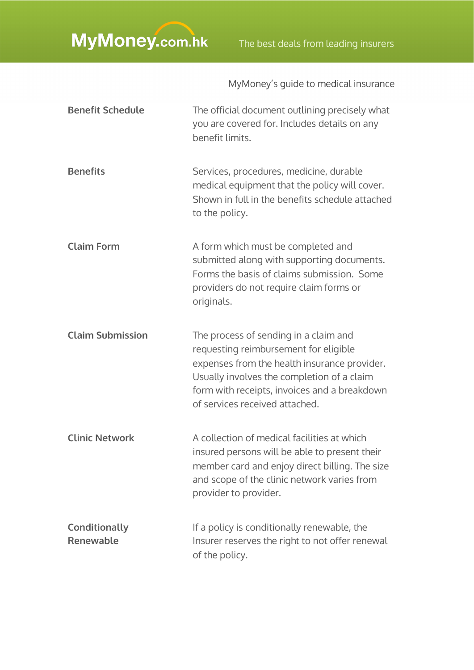| <b>Benefit Schedule</b>    | The official document outlining precisely what<br>you are covered for. Includes details on any<br>benefit limits.                                                                                                                                              |
|----------------------------|----------------------------------------------------------------------------------------------------------------------------------------------------------------------------------------------------------------------------------------------------------------|
| <b>Benefits</b>            | Services, procedures, medicine, durable<br>medical equipment that the policy will cover.<br>Shown in full in the benefits schedule attached<br>to the policy.                                                                                                  |
| <b>Claim Form</b>          | A form which must be completed and<br>submitted along with supporting documents.<br>Forms the basis of claims submission. Some<br>providers do not require claim forms or<br>originals.                                                                        |
| <b>Claim Submission</b>    | The process of sending in a claim and<br>requesting reimbursement for eligible<br>expenses from the health insurance provider.<br>Usually involves the completion of a claim<br>form with receipts, invoices and a breakdown<br>of services received attached. |
| <b>Clinic Network</b>      | A collection of medical facilities at which<br>insured persons will be able to present their<br>member card and enjoy direct billing. The size<br>and scope of the clinic network varies from<br>provider to provider.                                         |
| Conditionally<br>Renewable | If a policy is conditionally renewable, the<br>Insurer reserves the right to not offer renewal<br>of the policy.                                                                                                                                               |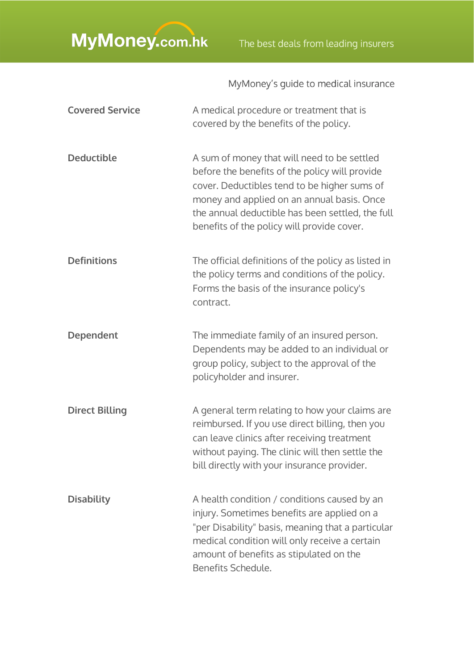| <b>Covered Service</b> | A medical procedure or treatment that is<br>covered by the benefits of the policy.                                                                                                                                                                                                            |
|------------------------|-----------------------------------------------------------------------------------------------------------------------------------------------------------------------------------------------------------------------------------------------------------------------------------------------|
| <b>Deductible</b>      | A sum of money that will need to be settled<br>before the benefits of the policy will provide<br>cover. Deductibles tend to be higher sums of<br>money and applied on an annual basis. Once<br>the annual deductible has been settled, the full<br>benefits of the policy will provide cover. |
| <b>Definitions</b>     | The official definitions of the policy as listed in<br>the policy terms and conditions of the policy.<br>Forms the basis of the insurance policy's<br>contract.                                                                                                                               |
| <b>Dependent</b>       | The immediate family of an insured person.<br>Dependents may be added to an individual or<br>group policy, subject to the approval of the<br>policyholder and insurer.                                                                                                                        |
| <b>Direct Billing</b>  | A general term relating to how your claims are<br>reimbursed. If you use direct billing, then you<br>can leave clinics after receiving treatment<br>without paying. The clinic will then settle the<br>bill directly with your insurance provider.                                            |
| <b>Disability</b>      | A health condition / conditions caused by an<br>injury. Sometimes benefits are applied on a<br>"per Disability" basis, meaning that a particular<br>medical condition will only receive a certain<br>amount of benefits as stipulated on the<br>Benefits Schedule.                            |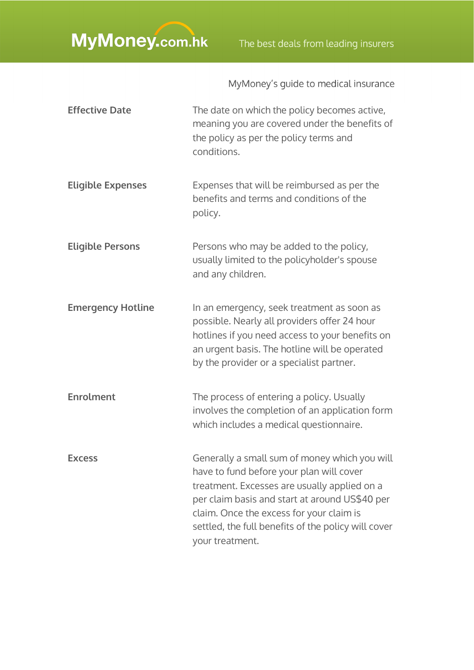| <b>Effective Date</b>    | The date on which the policy becomes active,<br>meaning you are covered under the benefits of<br>the policy as per the policy terms and<br>conditions.                                                                                                                                                            |
|--------------------------|-------------------------------------------------------------------------------------------------------------------------------------------------------------------------------------------------------------------------------------------------------------------------------------------------------------------|
| <b>Eligible Expenses</b> | Expenses that will be reimbursed as per the<br>benefits and terms and conditions of the<br>policy.                                                                                                                                                                                                                |
| <b>Eligible Persons</b>  | Persons who may be added to the policy,<br>usually limited to the policyholder's spouse<br>and any children.                                                                                                                                                                                                      |
| <b>Emergency Hotline</b> | In an emergency, seek treatment as soon as<br>possible. Nearly all providers offer 24 hour<br>hotlines if you need access to your benefits on<br>an urgent basis. The hotline will be operated<br>by the provider or a specialist partner.                                                                        |
| <b>Enrolment</b>         | The process of entering a policy. Usually<br>involves the completion of an application form<br>which includes a medical questionnaire.                                                                                                                                                                            |
| <b>Excess</b>            | Generally a small sum of money which you will<br>have to fund before your plan will cover<br>treatment. Excesses are usually applied on a<br>per claim basis and start at around US\$40 per<br>claim. Once the excess for your claim is<br>settled, the full benefits of the policy will cover<br>your treatment. |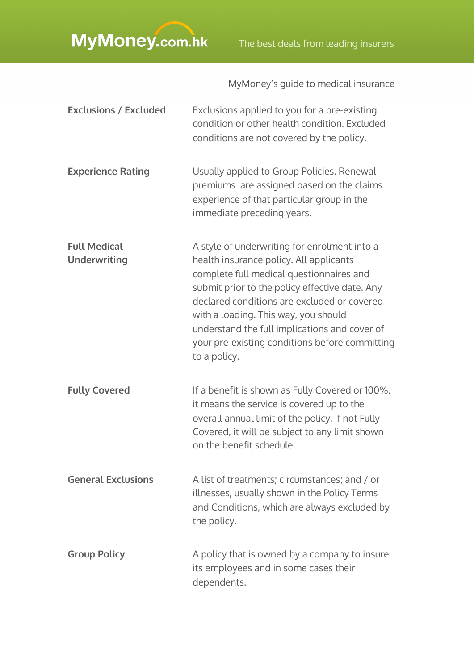| <b>Exclusions / Excluded</b>               | Exclusions applied to you for a pre-existing<br>condition or other health condition. Excluded<br>conditions are not covered by the policy.                                                                                                                                                                                                                                                      |
|--------------------------------------------|-------------------------------------------------------------------------------------------------------------------------------------------------------------------------------------------------------------------------------------------------------------------------------------------------------------------------------------------------------------------------------------------------|
| <b>Experience Rating</b>                   | Usually applied to Group Policies. Renewal<br>premiums are assigned based on the claims<br>experience of that particular group in the<br>immediate preceding years.                                                                                                                                                                                                                             |
| <b>Full Medical</b><br><b>Underwriting</b> | A style of underwriting for enrolment into a<br>health insurance policy. All applicants<br>complete full medical questionnaires and<br>submit prior to the policy effective date. Any<br>declared conditions are excluded or covered<br>with a loading. This way, you should<br>understand the full implications and cover of<br>your pre-existing conditions before committing<br>to a policy. |
| <b>Fully Covered</b>                       | If a benefit is shown as Fully Covered or 100%,<br>it means the service is covered up to the<br>overall annual limit of the policy. If not Fully<br>Covered, it will be subject to any limit shown<br>on the benefit schedule.                                                                                                                                                                  |
| <b>General Exclusions</b>                  | A list of treatments; circumstances; and / or<br>illnesses, usually shown in the Policy Terms<br>and Conditions, which are always excluded by<br>the policy.                                                                                                                                                                                                                                    |
| <b>Group Policy</b>                        | A policy that is owned by a company to insure<br>its employees and in some cases their<br>dependents.                                                                                                                                                                                                                                                                                           |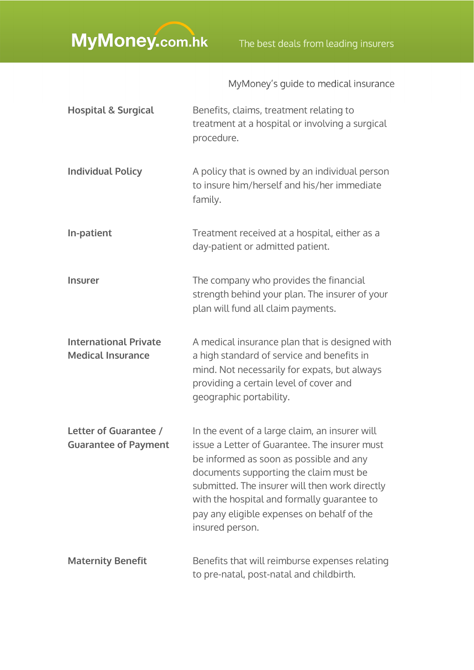| <b>Hospital &amp; Surgical</b>                           | Benefits, claims, treatment relating to<br>treatment at a hospital or involving a surgical<br>procedure.                                                                                                                                                                                                                                               |
|----------------------------------------------------------|--------------------------------------------------------------------------------------------------------------------------------------------------------------------------------------------------------------------------------------------------------------------------------------------------------------------------------------------------------|
| <b>Individual Policy</b>                                 | A policy that is owned by an individual person<br>to insure him/herself and his/her immediate<br>family.                                                                                                                                                                                                                                               |
| In-patient                                               | Treatment received at a hospital, either as a<br>day-patient or admitted patient.                                                                                                                                                                                                                                                                      |
| <b>Insurer</b>                                           | The company who provides the financial<br>strength behind your plan. The insurer of your<br>plan will fund all claim payments.                                                                                                                                                                                                                         |
| <b>International Private</b><br><b>Medical Insurance</b> | A medical insurance plan that is designed with<br>a high standard of service and benefits in<br>mind. Not necessarily for expats, but always<br>providing a certain level of cover and<br>geographic portability.                                                                                                                                      |
| Letter of Guarantee /<br><b>Guarantee of Payment</b>     | In the event of a large claim, an insurer will<br>issue a Letter of Guarantee. The insurer must<br>be informed as soon as possible and any<br>documents supporting the claim must be<br>submitted. The insurer will then work directly<br>with the hospital and formally guarantee to<br>pay any eligible expenses on behalf of the<br>insured person. |
| <b>Maternity Benefit</b>                                 | Benefits that will reimburse expenses relating<br>to pre-natal, post-natal and childbirth.                                                                                                                                                                                                                                                             |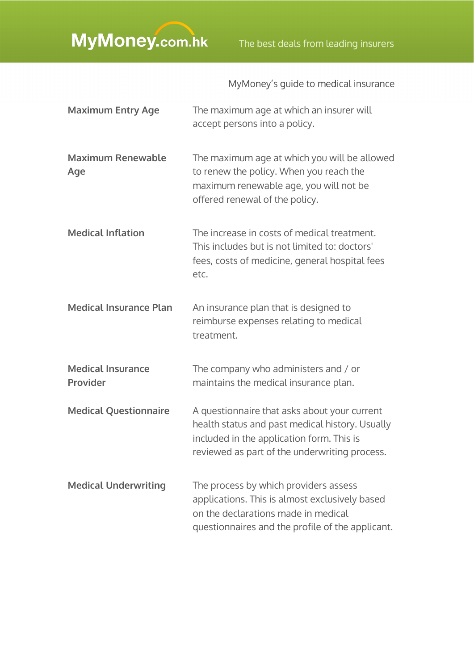| <b>Maximum Entry Age</b>             | The maximum age at which an insurer will<br>accept persons into a policy.                                                                                                                     |
|--------------------------------------|-----------------------------------------------------------------------------------------------------------------------------------------------------------------------------------------------|
| <b>Maximum Renewable</b><br>Age      | The maximum age at which you will be allowed<br>to renew the policy. When you reach the<br>maximum renewable age, you will not be<br>offered renewal of the policy.                           |
| <b>Medical Inflation</b>             | The increase in costs of medical treatment.<br>This includes but is not limited to: doctors'<br>fees, costs of medicine, general hospital fees<br>etc.                                        |
| <b>Medical Insurance Plan</b>        | An insurance plan that is designed to<br>reimburse expenses relating to medical<br>treatment.                                                                                                 |
| <b>Medical Insurance</b><br>Provider | The company who administers and / or<br>maintains the medical insurance plan.                                                                                                                 |
| <b>Medical Questionnaire</b>         | A questionnaire that asks about your current<br>health status and past medical history. Usually<br>included in the application form. This is<br>reviewed as part of the underwriting process. |
| <b>Medical Underwriting</b>          | The process by which providers assess<br>applications. This is almost exclusively based<br>on the declarations made in medical<br>questionnaires and the profile of the applicant.            |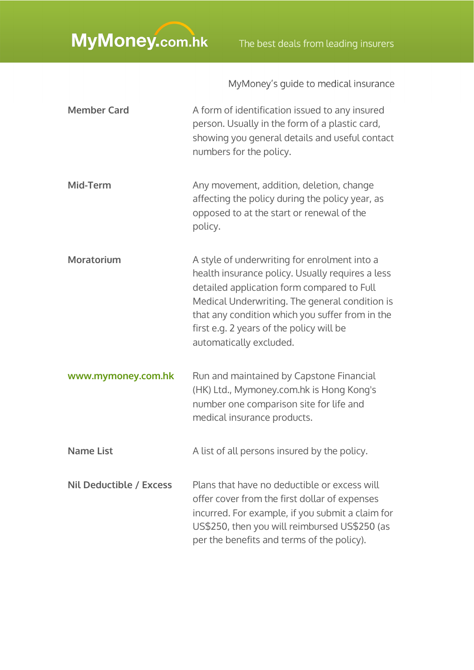| <b>Member Card</b>      | A form of identification issued to any insured<br>person. Usually in the form of a plastic card,<br>showing you general details and useful contact<br>numbers for the policy.                                                                                                                                              |
|-------------------------|----------------------------------------------------------------------------------------------------------------------------------------------------------------------------------------------------------------------------------------------------------------------------------------------------------------------------|
| Mid-Term                | Any movement, addition, deletion, change<br>affecting the policy during the policy year, as<br>opposed to at the start or renewal of the<br>policy.                                                                                                                                                                        |
| <b>Moratorium</b>       | A style of underwriting for enrolment into a<br>health insurance policy. Usually requires a less<br>detailed application form compared to Full<br>Medical Underwriting. The general condition is<br>that any condition which you suffer from in the<br>first e.g. 2 years of the policy will be<br>automatically excluded. |
| www.mymoney.com.hk      | Run and maintained by Capstone Financial<br>(HK) Ltd., Mymoney.com.hk is Hong Kong's<br>number one comparison site for life and<br>medical insurance products.                                                                                                                                                             |
| <b>Name List</b>        | A list of all persons insured by the policy.                                                                                                                                                                                                                                                                               |
| Nil Deductible / Excess | Plans that have no deductible or excess will<br>offer cover from the first dollar of expenses<br>incurred. For example, if you submit a claim for<br>US\$250, then you will reimbursed US\$250 (as<br>per the benefits and terms of the policy).                                                                           |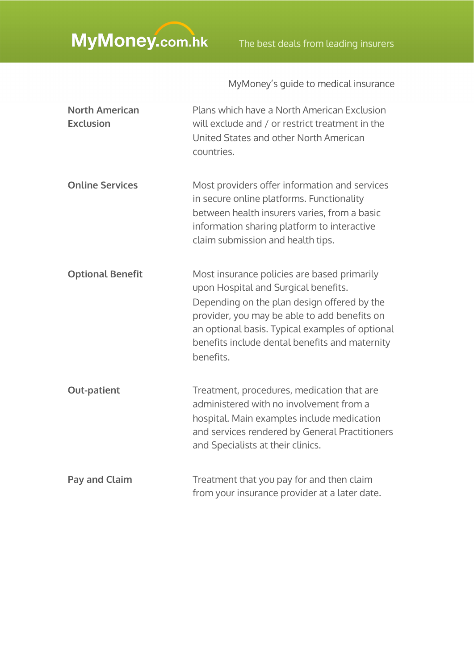| <b>North American</b><br><b>Exclusion</b> | Plans which have a North American Exclusion<br>will exclude and / or restrict treatment in the<br>United States and other North American<br>countries.                                                                                                                                               |
|-------------------------------------------|------------------------------------------------------------------------------------------------------------------------------------------------------------------------------------------------------------------------------------------------------------------------------------------------------|
| <b>Online Services</b>                    | Most providers offer information and services<br>in secure online platforms. Functionality<br>between health insurers varies, from a basic<br>information sharing platform to interactive<br>claim submission and health tips.                                                                       |
| <b>Optional Benefit</b>                   | Most insurance policies are based primarily<br>upon Hospital and Surgical benefits.<br>Depending on the plan design offered by the<br>provider, you may be able to add benefits on<br>an optional basis. Typical examples of optional<br>benefits include dental benefits and maternity<br>benefits. |
| <b>Out-patient</b>                        | Treatment, procedures, medication that are<br>administered with no involvement from a<br>hospital. Main examples include medication<br>and services rendered by General Practitioners<br>and Specialists at their clinics.                                                                           |
| <b>Pay and Claim</b>                      | Treatment that you pay for and then claim<br>from your insurance provider at a later date.                                                                                                                                                                                                           |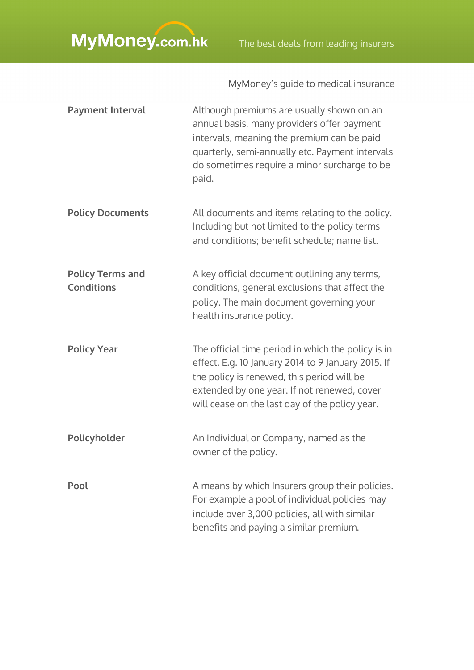| <b>Payment Interval</b>                      | Although premiums are usually shown on an<br>annual basis, many providers offer payment<br>intervals, meaning the premium can be paid<br>quarterly, semi-annually etc. Payment intervals<br>do sometimes require a minor surcharge to be<br>paid.       |
|----------------------------------------------|---------------------------------------------------------------------------------------------------------------------------------------------------------------------------------------------------------------------------------------------------------|
| <b>Policy Documents</b>                      | All documents and items relating to the policy.<br>Including but not limited to the policy terms<br>and conditions; benefit schedule; name list.                                                                                                        |
| <b>Policy Terms and</b><br><b>Conditions</b> | A key official document outlining any terms,<br>conditions, general exclusions that affect the<br>policy. The main document governing your<br>health insurance policy.                                                                                  |
| <b>Policy Year</b>                           | The official time period in which the policy is in<br>effect. E.g. 10 January 2014 to 9 January 2015. If<br>the policy is renewed, this period will be<br>extended by one year. If not renewed, cover<br>will cease on the last day of the policy year. |
| Policyholder                                 | An Individual or Company, named as the<br>owner of the policy.                                                                                                                                                                                          |
| Pool                                         | A means by which Insurers group their policies.<br>For example a pool of individual policies may<br>include over 3,000 policies, all with similar<br>benefits and paying a similar premium.                                                             |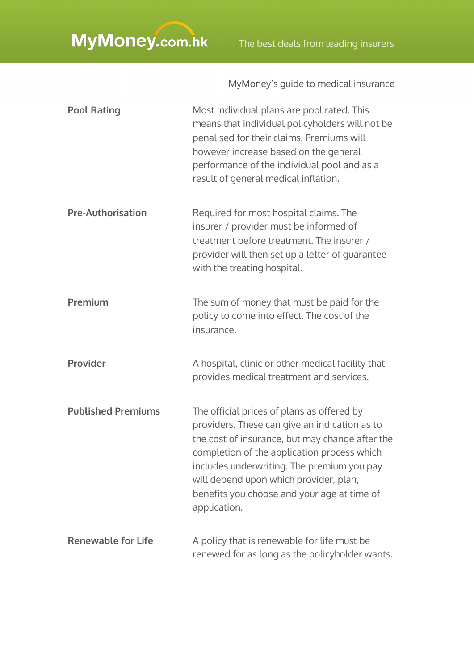| <b>Pool Rating</b>        | Most individual plans are pool rated. This<br>means that individual policyholders will not be<br>penalised for their claims. Premiums will<br>however increase based on the general<br>performance of the individual pool and as a<br>result of general medical inflation.                                                                           |
|---------------------------|------------------------------------------------------------------------------------------------------------------------------------------------------------------------------------------------------------------------------------------------------------------------------------------------------------------------------------------------------|
| <b>Pre-Authorisation</b>  | Required for most hospital claims. The<br>insurer / provider must be informed of<br>treatment before treatment. The insurer /<br>provider will then set up a letter of guarantee<br>with the treating hospital.                                                                                                                                      |
| Premium                   | The sum of money that must be paid for the<br>policy to come into effect. The cost of the<br>insurance.                                                                                                                                                                                                                                              |
| Provider                  | A hospital, clinic or other medical facility that<br>provides medical treatment and services.                                                                                                                                                                                                                                                        |
| <b>Published Premiums</b> | The official prices of plans as offered by<br>providers. These can give an indication as to<br>the cost of insurance, but may change after the<br>completion of the application process which<br>includes underwriting. The premium you pay<br>will depend upon which provider, plan,<br>benefits you choose and your age at time of<br>application. |
| <b>Renewable for Life</b> | A policy that is renewable for life must be<br>renewed for as long as the policyholder wants.                                                                                                                                                                                                                                                        |